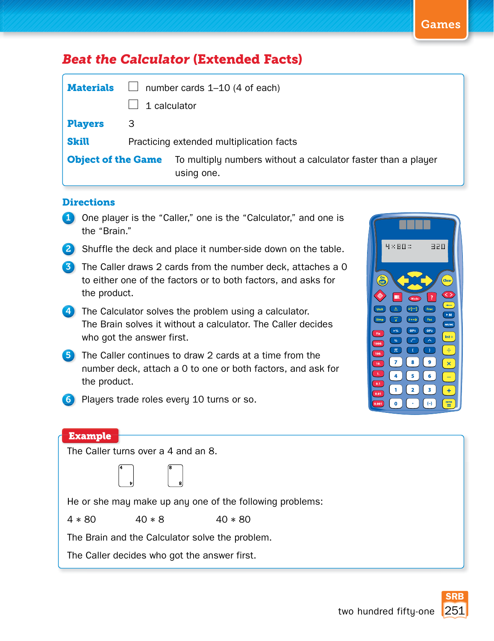## **Beat the Calculator (Extended Facts)**

| <b>Materials</b>          | number cards 1-10 (4 of each)            |                                                                             |  |  |
|---------------------------|------------------------------------------|-----------------------------------------------------------------------------|--|--|
|                           |                                          | 1 calculator                                                                |  |  |
| <b>Players</b>            | З                                        |                                                                             |  |  |
| <b>Skill</b>              | Practicing extended multiplication facts |                                                                             |  |  |
| <b>Object of the Game</b> |                                          | To multiply numbers without a calculator faster than a player<br>using one. |  |  |

## **Directions**

- 1 One player is the "Caller," one is the "Calculator," and one is the "Brain."
- 2 Shuffle the deck and place it number-side down on the table.
- **3** The Caller draws 2 cards from the number deck, attaches a 0 to either one of the factors or to both factors, and asks for the product.
- **4** The Calculator solves the problem using a calculator. The Brain solves it without a calculator. The Caller decides who got the answer first.
- **5** The Caller continues to draw 2 cards at a time from the number deck, attach a 0 to one or both factors, and ask for the product.



6 Players trade roles every 10 turns or so.

## **Example**

The Caller turns over a 4 and an 8.

**4**

|   | 8 |  |
|---|---|--|
|   |   |  |
| Þ | 8 |  |

He or she may make up any one of the following problems:

 $4 * 80$   $40 * 8$   $40 * 80$ 

The Brain and the Calculator solve the problem.

The Caller decides who got the answer first.